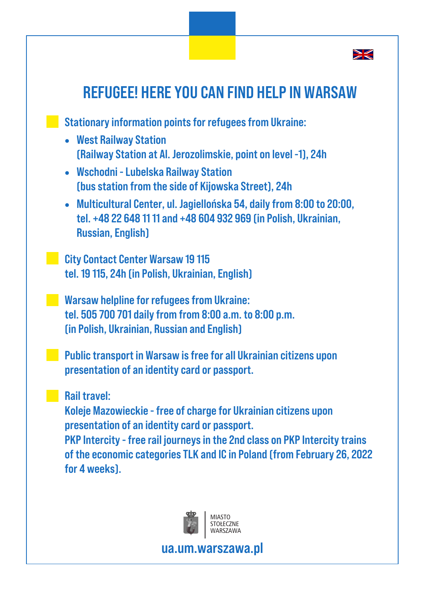

## REFUGEE! HERE YOU CAN FIND HELP IN WARSAW **Stationary information points for refugees from Ukraine:** · West Railway Station (Railway Station at Al. Jerozolimskie, point on level -1), 24h · Wschodni - Lubelska Railway Station (bus station from the side of Kijowska Street), 24h · Multicultural Center, ul. Jagiellońska 54, daily from 8:00 to 20:00, tel. +48 22 648 11 11 and +48 604 932 969 (in Polish, Ukrainian, Russian, English) **City Contact Center Warsaw 19 115** tel. 19 115, 24h (in Polish, Ukrainian, English) **Warsaw helpline for refugees from Ukraine:** tel. 505 700 701 daily from from 8:00 a.m. to 8:00 p.m. (in Polish, Ukrainian, Russian and English) **Public transport in Warsaw is free for all Ukrainian citizens upon** presentation of an identity card or passport. Rail travel: Koleje Mazowieckie - free of charge for Ukrainian citizens upon presentation of an identity card or passport. PKP Intercity - free rail journeys in the 2nd class on PKP Intercity trains of the economic categories TLK and IC in Poland (from February 26, 2022 for 4 weeks).



ua.um.warszawa.pl